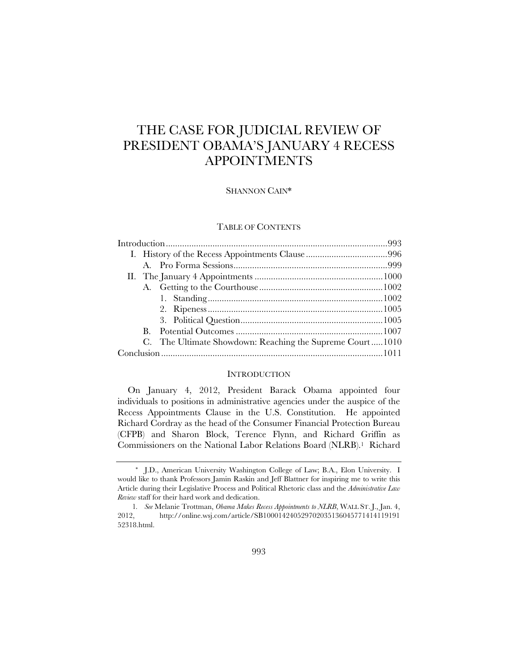# THE CASE FOR JUDICIAL REVIEW OF PRESIDENT OBAMA'S JANUARY 4 RECESS APPOINTMENTS

SHANNON CAIN\*

## TABLE OF CONTENTS

|  | $\mathbf{B}$ . |                                                          |  |
|--|----------------|----------------------------------------------------------|--|
|  |                | C. The Ultimate Showdown: Reaching the Supreme Court1010 |  |
|  |                |                                                          |  |
|  |                |                                                          |  |

## **INTRODUCTION**

On January 4, 2012, President Barack Obama appointed four individuals to positions in administrative agencies under the auspice of the Recess Appointments Clause in the U.S. Constitution. He appointed Richard Cordray as the head of the Consumer Financial Protection Bureau (CFPB) and Sharon Block, Terence Flynn, and Richard Griffin as Commissioners on the National Labor Relations Board (NLRB).1 Richard

 <sup>\*</sup> J.D., American University Washington College of Law; B.A., Elon University. I would like to thank Professors Jamin Raskin and Jeff Blattner for inspiring me to write this Article during their Legislative Process and Political Rhetoric class and the *Administrative Law Review* staff for their hard work and dedication.

<sup>1</sup>*. See* Melanie Trottman, *Obama Makes Recess Appointments to NLRB*, WALL ST. J., Jan. 4, 2012, http://online.wsj.com/article/SB100014240529702035136045771414119191 52318.html.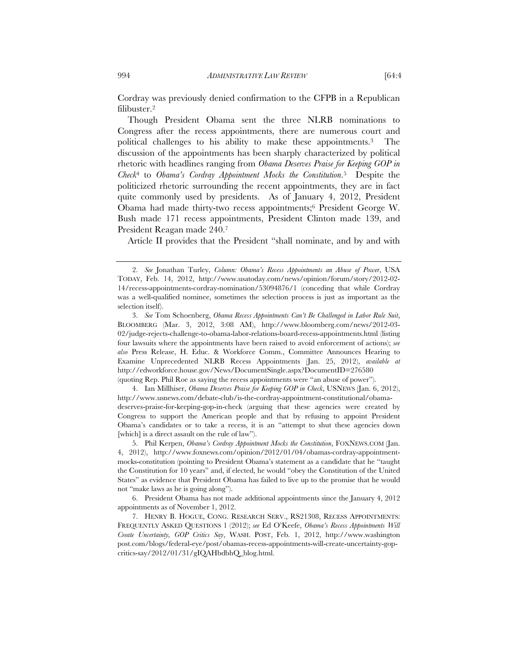Cordray was previously denied confirmation to the CFPB in a Republican filibuster.2

Though President Obama sent the three NLRB nominations to Congress after the recess appointments, there are numerous court and political challenges to his ability to make these appointments.3 The discussion of the appointments has been sharply characterized by political rhetoric with headlines ranging from *Obama Deserves Praise for Keeping GOP in Check*4 to *Obama's Cordray Appointment Mocks the Constitution*.5 Despite the politicized rhetoric surrounding the recent appointments, they are in fact quite commonly used by presidents. As of January 4, 2012, President Obama had made thirty-two recess appointments;6 President George W. Bush made 171 recess appointments, President Clinton made 139, and President Reagan made 240.7

Article II provides that the President "shall nominate, and by and with

 4. Ian Millhiser, *Obama Deserves Praise for Keeping GOP in Check*, USNEWS (Jan. 6, 2012), http://www.usnews.com/debate-club/is-the-cordray-appointment-constitutional/obamadeserves-praise-for-keeping-gop-in-check (arguing that these agencies were created by Congress to support the American people and that by refusing to appoint President Obama's candidates or to take a recess, it is an "attempt to shut these agencies down [which] is a direct assault on the rule of law".

 5. Phil Kerpen, *Obama's Cordray Appointment Mocks the Constitution*, FOXNEWS.COM (Jan. 4, 2012), http://www.foxnews.com/opinion/2012/01/04/obamas-cordray-appointmentmocks-constitution (pointing to President Obama's statement as a candidate that he "taught the Constitution for 10 years" and, if elected, he would "obey the Constitution of the United States" as evidence that President Obama has failed to live up to the promise that he would not "make laws as he is going along").

 6. President Obama has not made additional appointments since the January 4, 2012 appointments as of November 1, 2012.

 7. HENRY B. HOGUE, CONG. RESEARCH SERV., RS21308, RECESS APPOINTMENTS: FREQUENTLY ASKED QUESTIONS 1 (2012); *see* Ed O'Keefe, *Obama's Recess Appointments Will Create Uncertainty, GOP Critics Say*, WASH. POST, Feb. 1, 2012, http://www.washington post.com/blogs/federal-eye/post/obamas-recess-appointments-will-create-uncertainty-gopcritics-say/2012/01/31/gIQAHbdbhQ\_blog.html.

 <sup>2.</sup> *See* Jonathan Turley, *Column: Obama's Recess Appointments an Abuse of Power*, USA TODAY, Feb. 14, 2012, http://www.usatoday.com/news/opinion/forum/story/2012-02- 14/recess-appointments-cordray-nomination/53094876/1 (conceding that while Cordray was a well-qualified nominee, sometimes the selection process is just as important as the selection itself).

 <sup>3.</sup> *See* Tom Schoenberg, *Obama Recess Appointments Can't Be Challenged in Labor Rule Suit*, BLOOMBERG (Mar. 3, 2012, 3:08 AM), http://www.bloomberg.com/news/2012-03- 02/judge-rejects-challenge-to-obama-labor-relations-board-recess-appointments.html (listing four lawsuits where the appointments have been raised to avoid enforcement of actions); *see also* Press Release, H. Educ. & Workforce Comm., Committee Announces Hearing to Examine Unprecedented NLRB Recess Appointments (Jan. 25, 2012), *available at* http://edworkforce.house.gov/News/DocumentSingle.aspx?DocumentID=276580 (quoting Rep. Phil Roe as saying the recess appointments were "an abuse of power").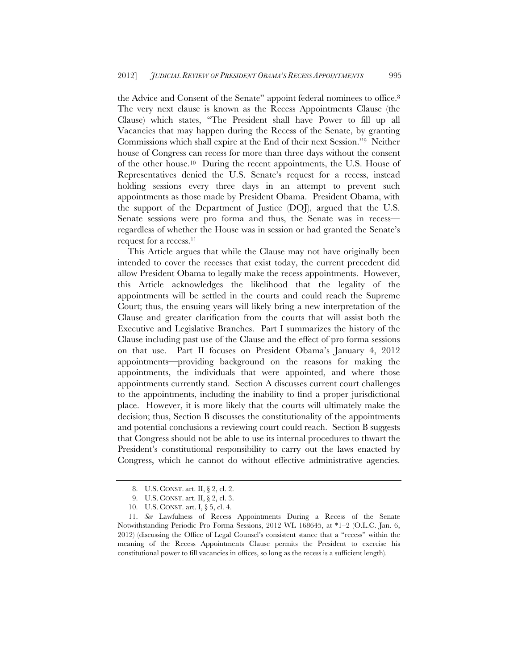the Advice and Consent of the Senate" appoint federal nominees to office.8 The very next clause is known as the Recess Appointments Clause (the Clause) which states, "The President shall have Power to fill up all Vacancies that may happen during the Recess of the Senate, by granting Commissions which shall expire at the End of their next Session."9 Neither house of Congress can recess for more than three days without the consent of the other house.10 During the recent appointments, the U.S. House of Representatives denied the U.S. Senate's request for a recess, instead holding sessions every three days in an attempt to prevent such appointments as those made by President Obama. President Obama, with the support of the Department of Justice (DOJ), argued that the U.S. Senate sessions were pro forma and thus, the Senate was in recess regardless of whether the House was in session or had granted the Senate's request for a recess.11

This Article argues that while the Clause may not have originally been intended to cover the recesses that exist today, the current precedent did allow President Obama to legally make the recess appointments. However, this Article acknowledges the likelihood that the legality of the appointments will be settled in the courts and could reach the Supreme Court; thus, the ensuing years will likely bring a new interpretation of the Clause and greater clarification from the courts that will assist both the Executive and Legislative Branches. Part I summarizes the history of the Clause including past use of the Clause and the effect of pro forma sessions on that use. Part II focuses on President Obama's January 4, 2012 appointments—providing background on the reasons for making the appointments, the individuals that were appointed, and where those appointments currently stand. Section A discusses current court challenges to the appointments, including the inability to find a proper jurisdictional place. However, it is more likely that the courts will ultimately make the decision; thus, Section B discusses the constitutionality of the appointments and potential conclusions a reviewing court could reach. Section B suggests that Congress should not be able to use its internal procedures to thwart the President's constitutional responsibility to carry out the laws enacted by Congress, which he cannot do without effective administrative agencies.

 <sup>8.</sup> U.S. CONST. art. II, § 2, cl. 2.

 <sup>9.</sup> U.S. CONST. art. II, § 2, cl. 3.

 <sup>10.</sup> U.S. CONST. art. I, § 5, cl. 4.

 <sup>11.</sup> *See* Lawfulness of Recess Appointments During a Recess of the Senate Notwithstanding Periodic Pro Forma Sessions, 2012 WL 168645, at \*1–2 (O.L.C. Jan. 6, 2012) (discussing the Office of Legal Counsel's consistent stance that a "recess" within the meaning of the Recess Appointments Clause permits the President to exercise his constitutional power to fill vacancies in offices, so long as the recess is a sufficient length).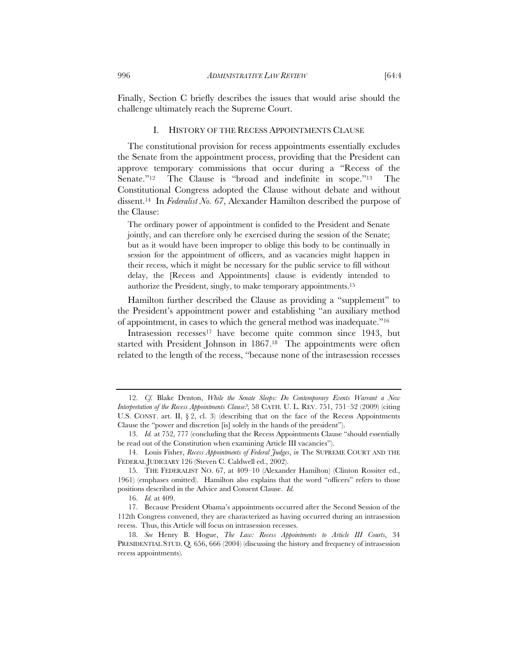Finally, Section C briefly describes the issues that would arise should the challenge ultimately reach the Supreme Court.

# I. HISTORY OF THE RECESS APPOINTMENTS CLAUSE

The constitutional provision for recess appointments essentially excludes the Senate from the appointment process, providing that the President can approve temporary commissions that occur during a "Recess of the Senate."<sup>12</sup> The Clause is "broad and indefinite in scope."<sup>13</sup> The Constitutional Congress adopted the Clause without debate and without dissent.14 In *Federalist No. 67*, Alexander Hamilton described the purpose of the Clause:

The ordinary power of appointment is confided to the President and Senate jointly, and can therefore only be exercised during the session of the Senate; but as it would have been improper to oblige this body to be continually in session for the appointment of officers, and as vacancies might happen in their recess, which it might be necessary for the public service to fill without delay, the [Recess and Appointments] clause is evidently intended to authorize the President, singly, to make temporary appointments.15

Hamilton further described the Clause as providing a "supplement" to the President's appointment power and establishing "an auxiliary method of appointment, in cases to which the general method was inadequate."16

Intrasession recesses<sup>17</sup> have become quite common since 1943, but started with President Johnson in 1867.<sup>18</sup> The appointments were often related to the length of the recess, "because none of the intrasession recesses

 <sup>12.</sup> *Cf.* Blake Denton, *While the Senate Sleeps: Do Contemporary Events Warrant a New Interpretation of the Recess Appointments Clause?*, 58 CATH. U. L. REV. 751, 751–52 (2009) (citing U.S. CONST. art. II,  $\S$ 2, cl. 3) (describing that on the face of the Recess Appointments Clause the "power and discretion [is] solely in the hands of the president").

 <sup>13.</sup> *Id.* at 752, 777 (concluding that the Recess Appointments Clause "should essentially be read out of the Constitution when examining Article III vacancies").

 <sup>14.</sup> Louis Fisher, *Recess Appointments of Federal Judges*, *in* The SUPREME COURT AND THE FEDERAL JUDICIARY 126 (Steven C. Caldwell ed., 2002).

 <sup>15.</sup> THE FEDERALIST NO. 67, at 409–10 (Alexander Hamilton) (Clinton Rossiter ed., 1961) (emphases omitted). Hamilton also explains that the word "officers" refers to those positions described in the Advice and Consent Clause. *Id.* 

 <sup>16.</sup> *Id.* at 409.

 <sup>17.</sup> Because President Obama's appointments occurred after the Second Session of the 112th Congress convened, they are characterized as having occurred during an intrasession recess. Thus, this Article will focus on intrasession recesses.

 <sup>18.</sup> *See* Henry B. Hogue, *The Law: Recess Appointments to Article III Courts*, 34 PRESIDENTIAL STUD. Q. 656, 666 (2004) (discussing the history and frequency of intrasession recess appointments).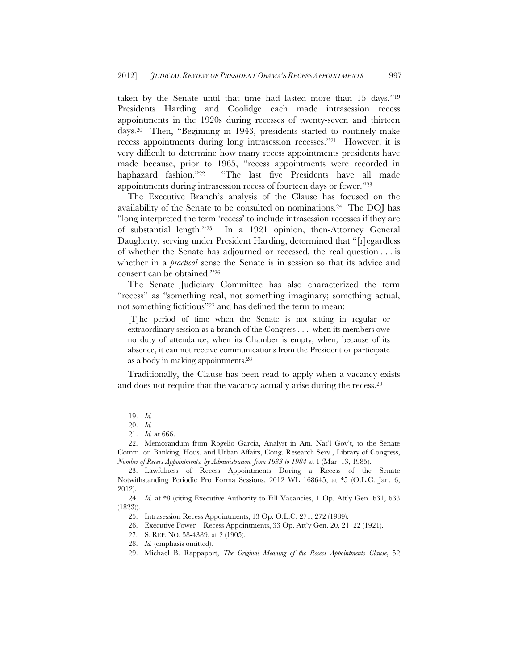taken by the Senate until that time had lasted more than 15 days."19 Presidents Harding and Coolidge each made intrasession recess appointments in the 1920s during recesses of twenty-seven and thirteen days.20 Then, "Beginning in 1943, presidents started to routinely make recess appointments during long intrasession recesses."21 However, it is very difficult to determine how many recess appointments presidents have made because, prior to 1965, "recess appointments were recorded in haphazard fashion."22 "The last five Presidents have all made appointments during intrasession recess of fourteen days or fewer."23

The Executive Branch's analysis of the Clause has focused on the availability of the Senate to be consulted on nominations.24 The DOJ has "long interpreted the term 'recess' to include intrasession recesses if they are of substantial length."25 In a 1921 opinion, then-Attorney General Daugherty, serving under President Harding, determined that "[r]egardless of whether the Senate has adjourned or recessed, the real question . . . is whether in a *practical* sense the Senate is in session so that its advice and consent can be obtained."26

The Senate Judiciary Committee has also characterized the term "recess" as "something real, not something imaginary; something actual, not something fictitious"27 and has defined the term to mean:

[T]he period of time when the Senate is not sitting in regular or extraordinary session as a branch of the Congress . . . when its members owe no duty of attendance; when its Chamber is empty; when, because of its absence, it can not receive communications from the President or participate as a body in making appointments.28

Traditionally, the Clause has been read to apply when a vacancy exists and does not require that the vacancy actually arise during the recess.29

 <sup>19.</sup> *Id.*

 <sup>20.</sup> *Id.*

 <sup>21.</sup> *Id.* at 666.

 <sup>22.</sup> Memorandum from Rogelio Garcia, Analyst in Am. Nat'l Gov't, to the Senate Comm. on Banking, Hous. and Urban Affairs, Cong. Research Serv., Library of Congress, *Number of Recess Appointments, by Administration, from 1933 to 1984* at 1 (Mar. 13, 1985).

 <sup>23.</sup> Lawfulness of Recess Appointments During a Recess of the Senate Notwithstanding Periodic Pro Forma Sessions, 2012 WL 168645, at \*5 (O.L.C. Jan. 6, 2012).

 <sup>24.</sup> *Id.* at \*8 (citing Executive Authority to Fill Vacancies, 1 Op. Att'y Gen. 631, 633 (1823)).

 <sup>25.</sup> Intrasession Recess Appointments, 13 Op. O.L.C. 271, 272 (1989).

 <sup>26.</sup> Executive Power—Recess Appointments, 33 Op. Att'y Gen. 20, 21–22 (1921).

 <sup>27.</sup> S. REP. NO. 58-4389, at 2 (1905).

 <sup>28.</sup> *Id.* (emphasis omitted).

 <sup>29.</sup> Michael B. Rappaport, *The Original Meaning of the Recess Appointments Clause*, 52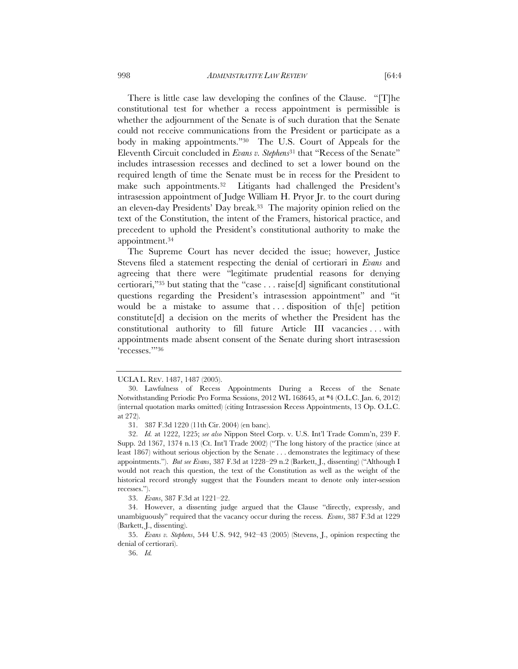There is little case law developing the confines of the Clause. "[T]he constitutional test for whether a recess appointment is permissible is whether the adjournment of the Senate is of such duration that the Senate could not receive communications from the President or participate as a body in making appointments."30 The U.S. Court of Appeals for the Eleventh Circuit concluded in *Evans v. Stephens*31 that "Recess of the Senate" includes intrasession recesses and declined to set a lower bound on the required length of time the Senate must be in recess for the President to make such appointments.32 Litigants had challenged the President's intrasession appointment of Judge William H. Pryor Jr. to the court during an eleven-day Presidents' Day break.33 The majority opinion relied on the text of the Constitution, the intent of the Framers, historical practice, and precedent to uphold the President's constitutional authority to make the appointment.34

The Supreme Court has never decided the issue; however, Justice Stevens filed a statement respecting the denial of certiorari in *Evans* and agreeing that there were "legitimate prudential reasons for denying certiorari,"35 but stating that the "case . . . raise[d] significant constitutional questions regarding the President's intrasession appointment" and "it would be a mistake to assume that ... disposition of th $[e]$  petition constitute[d] a decision on the merits of whether the President has the constitutional authority to fill future Article III vacancies . . . with appointments made absent consent of the Senate during short intrasession 'recesses.'"36

33. *Evans*, 387 F.3d at 1221–22.

UCLA L. REV. 1487, 1487 (2005).

 <sup>30.</sup> Lawfulness of Recess Appointments During a Recess of the Senate Notwithstanding Periodic Pro Forma Sessions, 2012 WL 168645, at \*4 (O.L.C. Jan. 6, 2012) (internal quotation marks omitted) (citing Intrasession Recess Appointments, 13 Op. O.L.C. at 272).

 <sup>31. 387</sup> F.3d 1220 (11th Cir. 2004) (en banc).

 <sup>32.</sup> *Id.* at 1222, 1225; *see also* Nippon Steel Corp. v. U.S. Int'l Trade Comm'n, 239 F. Supp. 2d 1367, 1374 n.13 (Ct. Int'l Trade 2002) ("The long history of the practice (since at least 1867) without serious objection by the Senate . . . demonstrates the legitimacy of these appointments."). *But see Evans*, 387 F.3d at 1228–29 n.2 (Barkett, J., dissenting) ("Although I would not reach this question, the text of the Constitution as well as the weight of the historical record strongly suggest that the Founders meant to denote only inter-session recesses.").

 <sup>34.</sup> However, a dissenting judge argued that the Clause "directly, expressly, and unambiguously" required that the vacancy occur during the recess. *Evans*, 387 F.3d at 1229 (Barkett, J., dissenting).

 <sup>35.</sup> *Evans v. Stephens*, 544 U.S. 942, 942–43 (2005) (Stevens, J., opinion respecting the denial of certiorari).

 <sup>36.</sup> *Id.*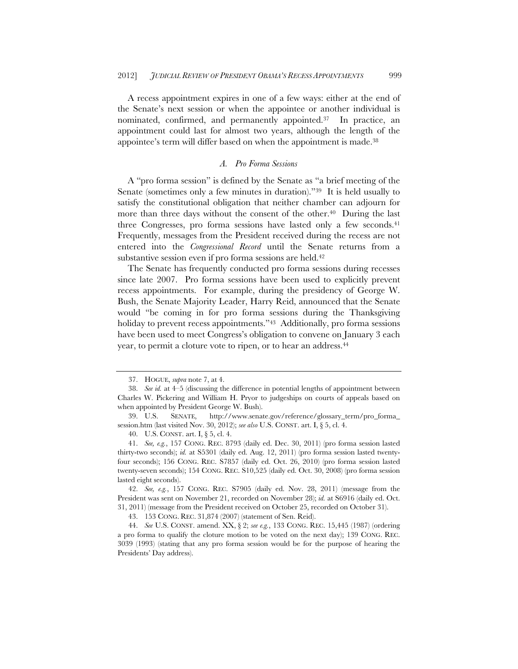A recess appointment expires in one of a few ways: either at the end of the Senate's next session or when the appointee or another individual is nominated, confirmed, and permanently appointed.37 In practice, an appointment could last for almost two years, although the length of the appointee's term will differ based on when the appointment is made.<sup>38</sup>

# *A. Pro Forma Sessions*

A "pro forma session" is defined by the Senate as "a brief meeting of the Senate (sometimes only a few minutes in duration)."39 It is held usually to satisfy the constitutional obligation that neither chamber can adjourn for more than three days without the consent of the other.<sup>40</sup> During the last three Congresses, pro forma sessions have lasted only a few seconds.41 Frequently, messages from the President received during the recess are not entered into the *Congressional Record* until the Senate returns from a substantive session even if pro forma sessions are held.42

The Senate has frequently conducted pro forma sessions during recesses since late 2007. Pro forma sessions have been used to explicitly prevent recess appointments. For example, during the presidency of George W. Bush, the Senate Majority Leader, Harry Reid, announced that the Senate would "be coming in for pro forma sessions during the Thanksgiving holiday to prevent recess appointments."<sup>43</sup> Additionally, pro forma sessions have been used to meet Congress's obligation to convene on January 3 each year, to permit a cloture vote to ripen, or to hear an address.44

 <sup>37.</sup> HOGUE, *supra* note 7, at 4.

 <sup>38.</sup> *See id.* at 4–5 (discussing the difference in potential lengths of appointment between Charles W. Pickering and William H. Pryor to judgeships on courts of appeals based on when appointed by President George W. Bush).

 <sup>39.</sup> U.S. SENATE, http://www.senate.gov/reference/glossary\_term/pro\_forma\_ session.htm (last visited Nov. 30, 2012); *see also* U.S. CONST. art. I, § 5, cl. 4.

 <sup>40.</sup> U.S. CONST. art. I, § 5, cl. 4.

 <sup>41.</sup> *See, e.g.*, 157 CONG. REC. 8793 (daily ed. Dec. 30, 2011) (pro forma session lasted thirty-two seconds); *id.* at S5301 (daily ed. Aug. 12, 2011) (pro forma session lasted twentyfour seconds); 156 CONG. REC. S7857 (daily ed. Oct. 26, 2010) (pro forma session lasted twenty-seven seconds); 154 CONG. REC. S10,525 (daily ed. Oct. 30, 2008) (pro forma session lasted eight seconds).

 <sup>42.</sup> *See, e.g.*, 157 CONG. REC. S7905 (daily ed. Nov. 28, 2011) (message from the President was sent on November 21, recorded on November 28); *id.* at S6916 (daily ed. Oct. 31, 2011) (message from the President received on October 25, recorded on October 31).

 <sup>43. 153</sup> CONG. REC. 31,874 (2007) (statement of Sen. Reid).

 <sup>44.</sup> *See* U.S. CONST. amend. XX, § 2; *see e.g.*, 133 CONG. REC. 15,445 (1987) (ordering a pro forma to qualify the cloture motion to be voted on the next day); 139 CONG. REC. 3039 (1993) (stating that any pro forma session would be for the purpose of hearing the Presidents' Day address).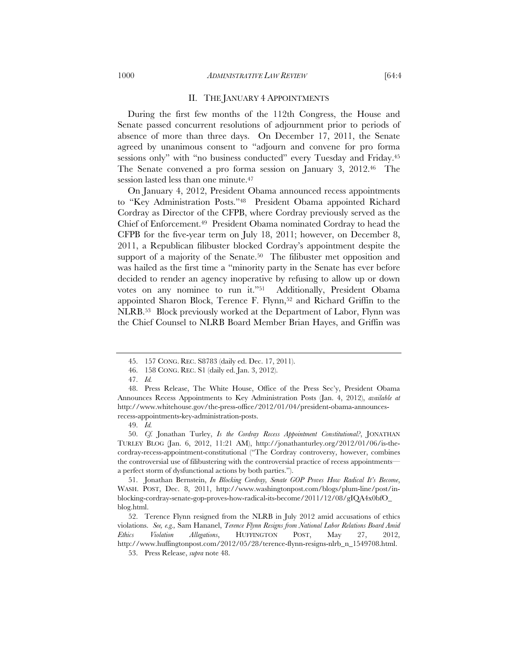#### II. THE JANUARY 4 APPOINTMENTS

During the first few months of the 112th Congress, the House and Senate passed concurrent resolutions of adjournment prior to periods of absence of more than three days. On December 17, 2011, the Senate agreed by unanimous consent to "adjourn and convene for pro forma sessions only" with "no business conducted" every Tuesday and Friday.<sup>45</sup> The Senate convened a pro forma session on January 3, 2012.46 The session lasted less than one minute.<sup>47</sup>

On January 4, 2012, President Obama announced recess appointments to "Key Administration Posts."48 President Obama appointed Richard Cordray as Director of the CFPB, where Cordray previously served as the Chief of Enforcement.49 President Obama nominated Cordray to head the CFPB for the five-year term on July 18, 2011; however, on December 8, 2011, a Republican filibuster blocked Cordray's appointment despite the support of a majority of the Senate.<sup>50</sup> The filibuster met opposition and was hailed as the first time a "minority party in the Senate has ever before decided to render an agency inoperative by refusing to allow up or down votes on any nominee to run it."51 Additionally, President Obama appointed Sharon Block, Terence F. Flynn,<sup>52</sup> and Richard Griffin to the NLRB.53 Block previously worked at the Department of Labor, Flynn was the Chief Counsel to NLRB Board Member Brian Hayes, and Griffin was

49. *Id.*

 50. *Cf.* Jonathan Turley, *Is the Cordray Recess Appointment Constitutional?*, JONATHAN TURLEY BLOG (Jan. 6, 2012, 11:21 AM), http://jonathanturley.org/2012/01/06/is-thecordray-recess-appointment-constitutional ("The Cordray controversy, however, combines the controversial use of filibustering with the controversial practice of recess appointments a perfect storm of dysfunctional actions by both parties.").

 51. Jonathan Bernstein, *In Blocking Cordray, Senate GOP Proves How Radical It's Become*, WASH. POST, Dec. 8, 2011, http://www.washingtonpost.com/blogs/plum-line/post/inblocking-cordray-senate-gop-proves-how-radical-its-become/2011/12/08/gIQA4x0bfO\_ blog.html.

 52. Terence Flynn resigned from the NLRB in July 2012 amid accusations of ethics violations. *See, e.g.,* Sam Hananel, *Terence Flynn Resigns from National Labor Relations Board Amid Ethics Violation Allegations*, HUFFINGTON POST, May 27, 2012, http://www.huffingtonpost.com/2012/05/28/terence-flynn-resigns-nlrb\_n\_1549708.html. 53. Press Release, *supra* note 48.

 <sup>45. 157</sup> CONG. REC. S8783 (daily ed. Dec. 17, 2011).

 <sup>46. 158</sup> CONG. REC. S1 (daily ed. Jan. 3, 2012).

 <sup>47.</sup> *Id.*

 <sup>48.</sup> Press Release, The White House, Office of the Press Sec'y, President Obama Announces Recess Appointments to Key Administration Posts (Jan. 4, 2012), *available at* http://www.whitehouse.gov/the-press-office/2012/01/04/president-obama-announcesrecess-appointments-key-administration-posts.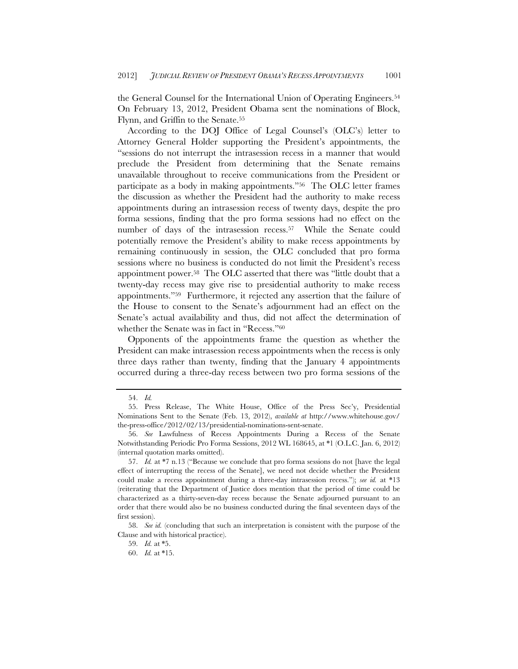the General Counsel for the International Union of Operating Engineers.54 On February 13, 2012, President Obama sent the nominations of Block, Flynn, and Griffin to the Senate.55

According to the DOJ Office of Legal Counsel's (OLC's) letter to Attorney General Holder supporting the President's appointments, the "sessions do not interrupt the intrasession recess in a manner that would preclude the President from determining that the Senate remains unavailable throughout to receive communications from the President or participate as a body in making appointments."56 The OLC letter frames the discussion as whether the President had the authority to make recess appointments during an intrasession recess of twenty days, despite the pro forma sessions, finding that the pro forma sessions had no effect on the number of days of the intrasession recess.57 While the Senate could potentially remove the President's ability to make recess appointments by remaining continuously in session, the OLC concluded that pro forma sessions where no business is conducted do not limit the President's recess appointment power.58 The OLC asserted that there was "little doubt that a twenty-day recess may give rise to presidential authority to make recess appointments."59 Furthermore, it rejected any assertion that the failure of the House to consent to the Senate's adjournment had an effect on the Senate's actual availability and thus, did not affect the determination of whether the Senate was in fact in "Recess."60

Opponents of the appointments frame the question as whether the President can make intrasession recess appointments when the recess is only three days rather than twenty, finding that the January 4 appointments occurred during a three-day recess between two pro forma sessions of the

 <sup>54.</sup> *Id.*

 <sup>55.</sup> Press Release, The White House, Office of the Press Sec'y, Presidential Nominations Sent to the Senate (Feb. 13, 2012), *available at* http://www.whitehouse.gov/ the-press-office/2012/02/13/presidential-nominations-sent-senate.

 <sup>56.</sup> *See* Lawfulness of Recess Appointments During a Recess of the Senate Notwithstanding Periodic Pro Forma Sessions, 2012 WL 168645, at \*1 (O.L.C. Jan. 6, 2012) (internal quotation marks omitted).

 <sup>57.</sup> *Id.* at \*7 n.13 ("Because we conclude that pro forma sessions do not [have the legal effect of interrupting the recess of the Senate], we need not decide whether the President could make a recess appointment during a three-day intrasession recess."); *see id.* at \*13 (reiterating that the Department of Justice does mention that the period of time could be characterized as a thirty-seven-day recess because the Senate adjourned pursuant to an order that there would also be no business conducted during the final seventeen days of the first session).

 <sup>58.</sup> *See id.* (concluding that such an interpretation is consistent with the purpose of the Clause and with historical practice).

 <sup>59.</sup> *Id.* at \*5.

 <sup>60.</sup> *Id.* at \*15.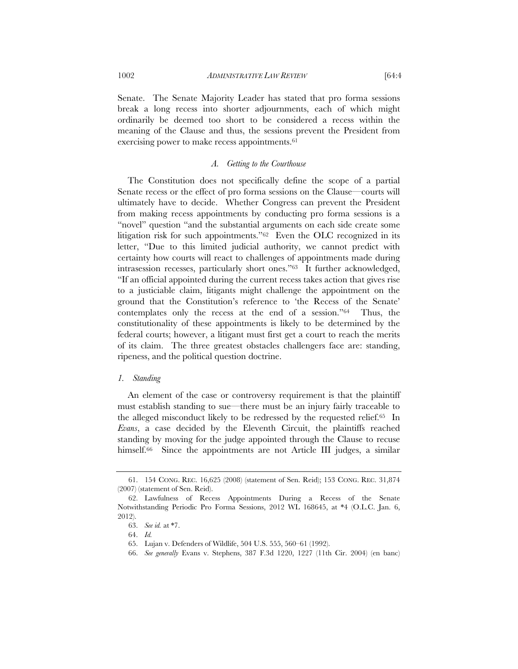Senate. The Senate Majority Leader has stated that pro forma sessions break a long recess into shorter adjournments, each of which might ordinarily be deemed too short to be considered a recess within the meaning of the Clause and thus, the sessions prevent the President from exercising power to make recess appointments.<sup>61</sup>

#### *A. Getting to the Courthouse*

The Constitution does not specifically define the scope of a partial Senate recess or the effect of pro forma sessions on the Clause—courts will ultimately have to decide. Whether Congress can prevent the President from making recess appointments by conducting pro forma sessions is a "novel" question "and the substantial arguments on each side create some litigation risk for such appointments."62 Even the OLC recognized in its letter, "Due to this limited judicial authority, we cannot predict with certainty how courts will react to challenges of appointments made during intrasession recesses, particularly short ones."63 It further acknowledged, "If an official appointed during the current recess takes action that gives rise to a justiciable claim, litigants might challenge the appointment on the ground that the Constitution's reference to 'the Recess of the Senate' contemplates only the recess at the end of a session."64 Thus, the constitutionality of these appointments is likely to be determined by the federal courts; however, a litigant must first get a court to reach the merits of its claim. The three greatest obstacles challengers face are: standing, ripeness, and the political question doctrine.

## *1. Standing*

An element of the case or controversy requirement is that the plaintiff must establish standing to sue—there must be an injury fairly traceable to the alleged misconduct likely to be redressed by the requested relief.65 In *Evans*, a case decided by the Eleventh Circuit, the plaintiffs reached standing by moving for the judge appointed through the Clause to recuse himself.<sup>66</sup> Since the appointments are not Article III judges, a similar

 <sup>61. 154</sup> CONG. REC. 16,625 (2008) (statement of Sen. Reid); 153 CONG. REC. 31,874 (2007) (statement of Sen. Reid).

 <sup>62.</sup> Lawfulness of Recess Appointments During a Recess of the Senate Notwithstanding Periodic Pro Forma Sessions, 2012 WL 168645, at \*4 (O.L.C. Jan. 6, 2012).

 <sup>63.</sup> *See id.* at \*7.

 <sup>64.</sup> *Id.*

 <sup>65.</sup> Lujan v. Defenders of Wildlife, 504 U.S. 555, 560–61 (1992).

 <sup>66.</sup> *See generally* Evans v. Stephens, 387 F.3d 1220, 1227 (11th Cir. 2004) (en banc)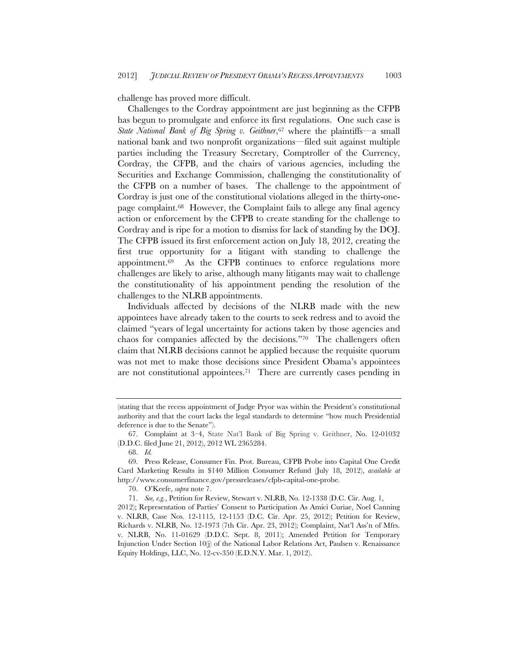challenge has proved more difficult.

Challenges to the Cordray appointment are just beginning as the CFPB has begun to promulgate and enforce its first regulations. One such case is *State National Bank of Big Spring v. Geithner*,67 where the plaintiffs—a small national bank and two nonprofit organizations—filed suit against multiple parties including the Treasury Secretary, Comptroller of the Currency, Cordray, the CFPB, and the chairs of various agencies, including the Securities and Exchange Commission, challenging the constitutionality of the CFPB on a number of bases. The challenge to the appointment of Cordray is just one of the constitutional violations alleged in the thirty-onepage complaint.68 However, the Complaint fails to allege any final agency action or enforcement by the CFPB to create standing for the challenge to Cordray and is ripe for a motion to dismiss for lack of standing by the DOJ. The CFPB issued its first enforcement action on July 18, 2012, creating the first true opportunity for a litigant with standing to challenge the appointment.69 As the CFPB continues to enforce regulations more challenges are likely to arise, although many litigants may wait to challenge the constitutionality of his appointment pending the resolution of the challenges to the NLRB appointments.

Individuals affected by decisions of the NLRB made with the new appointees have already taken to the courts to seek redress and to avoid the claimed "years of legal uncertainty for actions taken by those agencies and chaos for companies affected by the decisions."70 The challengers often claim that NLRB decisions cannot be applied because the requisite quorum was not met to make those decisions since President Obama's appointees are not constitutional appointees.71 There are currently cases pending in

68. *Id.*

70. O'Keefe, *supra* note 7.

<sup>(</sup>stating that the recess appointment of Judge Pryor was within the President's constitutional authority and that the court lacks the legal standards to determine "how much Presidential deference is due to the Senate").

 <sup>67.</sup> Complaint at 3–4, State Nat'l Bank of Big Spring v. Geithner, No. 12-01032 (D.D.C. filed June 21, 2012), 2012 WL 2365284.

 <sup>69.</sup> Press Release, Consumer Fin. Prot. Bureau, CFPB Probe into Capital One Credit Card Marketing Results in \$140 Million Consumer Refund (July 18, 2012), *available at* http://www.consumerfinance.gov/pressreleases/cfpb-capital-one-probe.

 <sup>71.</sup> *See, e.g.*, Petition for Review, Stewart v. NLRB, No. 12-1338 (D.C. Cir. Aug. 1,

<sup>2012);</sup> Representation of Parties' Consent to Participation As Amici Curiae, Noel Canning v. NLRB, Case Nos. 12-1115, 12-1153 (D.C. Cir. Apr. 25, 2012); Petition for Review, Richards v. NLRB, No. 12-1973 (7th Cir. Apr. 23, 2012); Complaint, Nat'l Ass'n of Mfrs. v. NLRB, No. 11-01629 (D.D.C. Sept. 8, 2011); Amended Petition for Temporary Injunction Under Section 10(j) of the National Labor Relations Act, Paulsen v. Renaissance Equity Holdings, LLC, No. 12-cv-350 (E.D.N.Y. Mar. 1, 2012).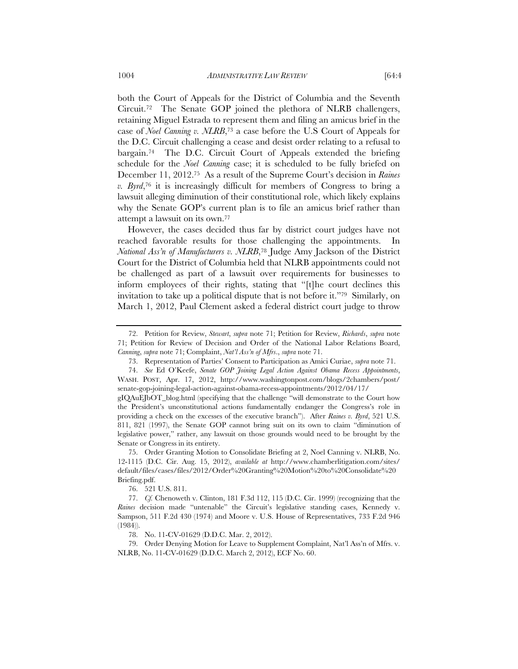both the Court of Appeals for the District of Columbia and the Seventh Circuit.72 The Senate GOP joined the plethora of NLRB challengers, retaining Miguel Estrada to represent them and filing an amicus brief in the case of *Noel Canning v. NLRB*,73 a case before the U.S Court of Appeals for the D.C. Circuit challenging a cease and desist order relating to a refusal to bargain.74 The D.C. Circuit Court of Appeals extended the briefing schedule for the *Noel Canning* case; it is scheduled to be fully briefed on December 11, 2012.75 As a result of the Supreme Court's decision in *Raines v. Byrd*,76 it is increasingly difficult for members of Congress to bring a lawsuit alleging diminution of their constitutional role, which likely explains why the Senate GOP's current plan is to file an amicus brief rather than attempt a lawsuit on its own.77

However, the cases decided thus far by district court judges have not reached favorable results for those challenging the appointments. In *National Ass'n of Manufacturers v. NLRB*,78 Judge Amy Jackson of the District Court for the District of Columbia held that NLRB appointments could not be challenged as part of a lawsuit over requirements for businesses to inform employees of their rights, stating that "[t]he court declines this invitation to take up a political dispute that is not before it."79 Similarly, on March 1, 2012, Paul Clement asked a federal district court judge to throw

76. 521 U.S. 811.

78. No. 11-CV-01629 (D.D.C. Mar. 2, 2012).

 79. Order Denying Motion for Leave to Supplement Complaint, Nat'l Ass'n of Mfrs. v. NLRB, No. 11-CV-01629 (D.D.C. March 2, 2012), ECF No. 60.

 <sup>72.</sup> Petition for Review, *Stewart*, *supra* note 71; Petition for Review, *Richards*, *supra* note 71; Petition for Review of Decision and Order of the National Labor Relations Board, *Canning*, *supra* note 71; Complaint, *Nat'l Ass'n of Mfrs*., *supra* note 71.

 <sup>73.</sup> Representation of Parties' Consent to Participation as Amici Curiae, *supra* note 71.

 <sup>74.</sup> *See* Ed O'Keefe, *Senate GOP Joining Legal Action Against Obama Recess Appointments*, WASH. POST, Apr. 17, 2012, http://www.washingtonpost.com/blogs/2chambers/post/ senate-gop-joining-legal-action-against-obama-recess-appointments/2012/04/17/

gIQAuEJbOT\_blog.html (specifying that the challenge "will demonstrate to the Court how the President's unconstitutional actions fundamentally endanger the Congress's role in providing a check on the excesses of the executive branch"). After *Raines v. Byrd*, 521 U.S. 811, 821 (1997), the Senate GOP cannot bring suit on its own to claim "diminution of legislative power," rather, any lawsuit on those grounds would need to be brought by the Senate or Congress in its entirety.

 <sup>75.</sup> Order Granting Motion to Consolidate Briefing at 2, Noel Canning v. NLRB, No. 12-1115 (D.C. Cir. Aug. 15, 2012), *available at* http://www.chamberlitigation.com/sites/ default/files/cases/files/2012/Order%20Granting%20Motion%20to%20Consolidate%20 Briefing.pdf.

 <sup>77.</sup> *Cf.* Chenoweth v. Clinton, 181 F.3d 112, 115 (D.C. Cir. 1999) (recognizing that the *Raines* decision made "untenable" the Circuit's legislative standing cases, Kennedy v. Sampson, 511 F.2d 430 (1974) and Moore v. U.S. House of Representatives, 733 F.2d 946 (1984)).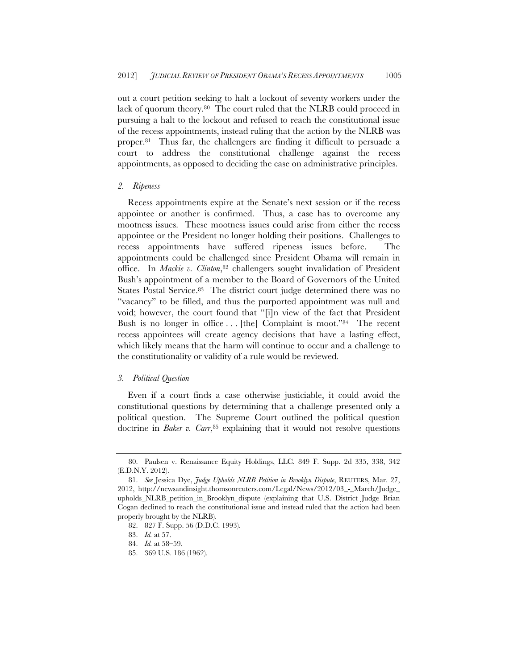out a court petition seeking to halt a lockout of seventy workers under the lack of quorum theory.80 The court ruled that the NLRB could proceed in pursuing a halt to the lockout and refused to reach the constitutional issue of the recess appointments, instead ruling that the action by the NLRB was proper.81 Thus far, the challengers are finding it difficult to persuade a court to address the constitutional challenge against the recess appointments, as opposed to deciding the case on administrative principles.

# *2. Ripeness*

Recess appointments expire at the Senate's next session or if the recess appointee or another is confirmed. Thus, a case has to overcome any mootness issues. These mootness issues could arise from either the recess appointee or the President no longer holding their positions. Challenges to recess appointments have suffered ripeness issues before. The appointments could be challenged since President Obama will remain in office. In *Mackie v. Clinton*,82 challengers sought invalidation of President Bush's appointment of a member to the Board of Governors of the United States Postal Service.<sup>83</sup> The district court judge determined there was no "vacancy" to be filled, and thus the purported appointment was null and void; however, the court found that "[i]n view of the fact that President Bush is no longer in office . . . [the] Complaint is moot."84 The recent recess appointees will create agency decisions that have a lasting effect, which likely means that the harm will continue to occur and a challenge to the constitutionality or validity of a rule would be reviewed.

## *3. Political Question*

Even if a court finds a case otherwise justiciable, it could avoid the constitutional questions by determining that a challenge presented only a political question. The Supreme Court outlined the political question doctrine in *Baker v. Carr*,<sup>85</sup> explaining that it would not resolve questions

 <sup>80.</sup> Paulsen v. Renaissance Equity Holdings, LLC, 849 F. Supp. 2d 335, 338, 342 (E.D.N.Y. 2012).

 <sup>81.</sup> *See* Jessica Dye, *Judge Upholds NLRB Petition in Brooklyn Dispute*, REUTERS, Mar. 27, 2012, http://newsandinsight.thomsonreuters.com/Legal/News/2012/03\_-\_March/Judge\_ upholds\_NLRB\_petition\_in\_Brooklyn\_dispute (explaining that U.S. District Judge Brian Cogan declined to reach the constitutional issue and instead ruled that the action had been properly brought by the NLRB).

 <sup>82. 827</sup> F. Supp. 56 (D.D.C. 1993).

 <sup>83.</sup> *Id.* at 57.

 <sup>84.</sup> *Id.* at 58–59.

 <sup>85. 369</sup> U.S. 186 (1962).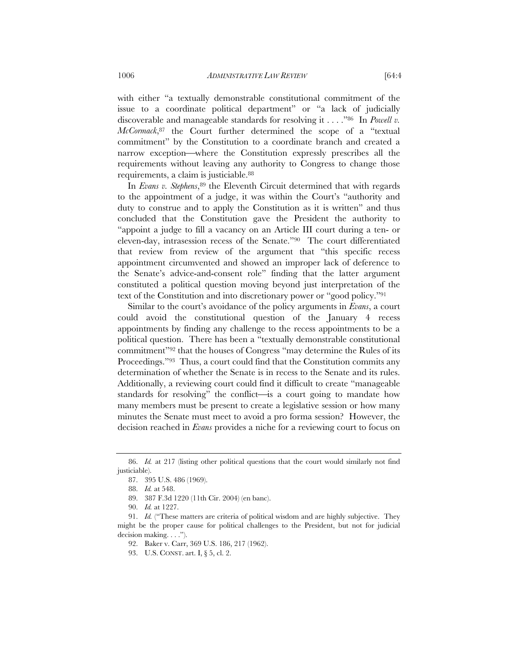with either "a textually demonstrable constitutional commitment of the issue to a coordinate political department" or "a lack of judicially discoverable and manageable standards for resolving it . . . ."86 In *Powell v. McCormack*,87 the Court further determined the scope of a "textual commitment" by the Constitution to a coordinate branch and created a narrow exception—where the Constitution expressly prescribes all the requirements without leaving any authority to Congress to change those requirements, a claim is justiciable.88

In *Evans v. Stephens*, <sup>89</sup> the Eleventh Circuit determined that with regards to the appointment of a judge, it was within the Court's "authority and duty to construe and to apply the Constitution as it is written" and thus concluded that the Constitution gave the President the authority to "appoint a judge to fill a vacancy on an Article III court during a ten- or eleven-day, intrasession recess of the Senate."90 The court differentiated that review from review of the argument that "this specific recess appointment circumvented and showed an improper lack of deference to the Senate's advice-and-consent role" finding that the latter argument constituted a political question moving beyond just interpretation of the text of the Constitution and into discretionary power or "good policy."91

Similar to the court's avoidance of the policy arguments in *Evans*, a court could avoid the constitutional question of the January 4 recess appointments by finding any challenge to the recess appointments to be a political question. There has been a "textually demonstrable constitutional commitment"92 that the houses of Congress "may determine the Rules of its Proceedings."93 Thus, a court could find that the Constitution commits any determination of whether the Senate is in recess to the Senate and its rules. Additionally, a reviewing court could find it difficult to create "manageable standards for resolving" the conflict—is a court going to mandate how many members must be present to create a legislative session or how many minutes the Senate must meet to avoid a pro forma session? However, the decision reached in *Evans* provides a niche for a reviewing court to focus on

 <sup>86.</sup> *Id.* at 217 (listing other political questions that the court would similarly not find justiciable).

 <sup>87. 395</sup> U.S. 486 (1969).

 <sup>88.</sup> *Id.* at 548.

 <sup>89. 387</sup> F.3d 1220 (11th Cir. 2004) (en banc).

 <sup>90.</sup> *Id.* at 1227.

 <sup>91.</sup> *Id.* ("These matters are criteria of political wisdom and are highly subjective. They might be the proper cause for political challenges to the President, but not for judicial decision making. . . .").

 <sup>92.</sup> Baker v. Carr, 369 U.S. 186, 217 (1962).

 <sup>93.</sup> U.S. CONST. art. I, § 5, cl. 2.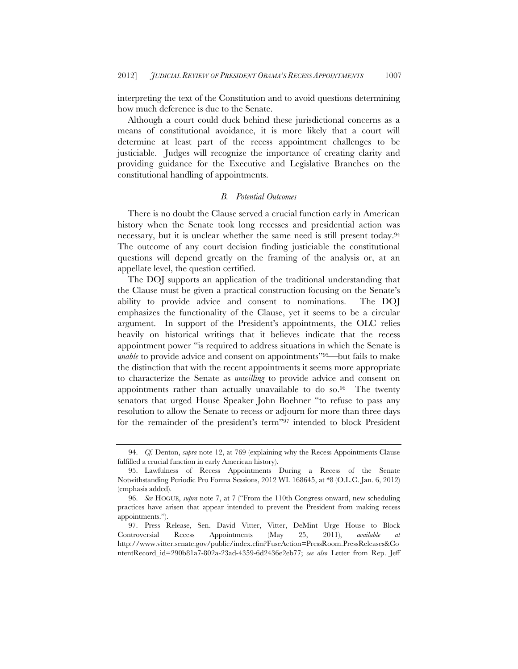interpreting the text of the Constitution and to avoid questions determining how much deference is due to the Senate.

Although a court could duck behind these jurisdictional concerns as a means of constitutional avoidance, it is more likely that a court will determine at least part of the recess appointment challenges to be justiciable. Judges will recognize the importance of creating clarity and providing guidance for the Executive and Legislative Branches on the constitutional handling of appointments.

# *B. Potential Outcomes*

There is no doubt the Clause served a crucial function early in American history when the Senate took long recesses and presidential action was necessary, but it is unclear whether the same need is still present today.94 The outcome of any court decision finding justiciable the constitutional questions will depend greatly on the framing of the analysis or, at an appellate level, the question certified.

The DOJ supports an application of the traditional understanding that the Clause must be given a practical construction focusing on the Senate's ability to provide advice and consent to nominations. The DOJ emphasizes the functionality of the Clause, yet it seems to be a circular argument. In support of the President's appointments, the OLC relies heavily on historical writings that it believes indicate that the recess appointment power "is required to address situations in which the Senate is *unable* to provide advice and consent on appointments"<sup>95</sup>—but fails to make the distinction that with the recent appointments it seems more appropriate to characterize the Senate as *unwilling* to provide advice and consent on appointments rather than actually unavailable to do so.96 The twenty senators that urged House Speaker John Boehner "to refuse to pass any resolution to allow the Senate to recess or adjourn for more than three days for the remainder of the president's term"97 intended to block President

 <sup>94.</sup> *Cf.* Denton, *supra* note 12, at 769 (explaining why the Recess Appointments Clause fulfilled a crucial function in early American history).

 <sup>95.</sup> Lawfulness of Recess Appointments During a Recess of the Senate Notwithstanding Periodic Pro Forma Sessions, 2012 WL 168645, at \*8 (O.L.C. Jan. 6, 2012) (emphasis added).

 <sup>96.</sup> *See* HOGUE, *supra* note 7, at 7 ("From the 110th Congress onward, new scheduling practices have arisen that appear intended to prevent the President from making recess appointments.").

 <sup>97.</sup> Press Release, Sen. David Vitter, Vitter, DeMint Urge House to Block Controversial Recess Appointments (May 25, 2011), *available at* http://www.vitter.senate.gov/public/index.cfm?FuseAction=PressRoom.PressReleases&Co ntentRecord\_id=290b81a7-802a-23ad-4359-6d2436e2eb77; *see also* Letter from Rep. Jeff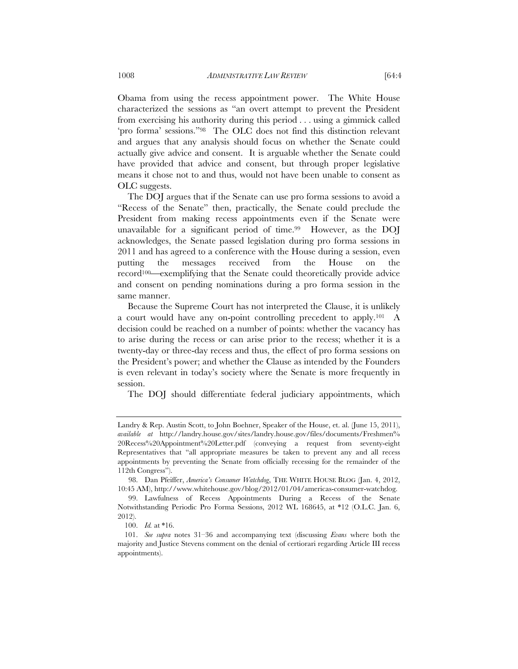Obama from using the recess appointment power. The White House characterized the sessions as "an overt attempt to prevent the President from exercising his authority during this period . . . using a gimmick called 'pro forma' sessions."98 The OLC does not find this distinction relevant and argues that any analysis should focus on whether the Senate could actually give advice and consent. It is arguable whether the Senate could have provided that advice and consent, but through proper legislative means it chose not to and thus, would not have been unable to consent as OLC suggests.

The DOJ argues that if the Senate can use pro forma sessions to avoid a "Recess of the Senate" then, practically, the Senate could preclude the President from making recess appointments even if the Senate were unavailable for a significant period of time.99 However, as the DOJ acknowledges, the Senate passed legislation during pro forma sessions in 2011 and has agreed to a conference with the House during a session, even putting the messages received from the House on the  $record<sup>100</sup>$  exemplifying that the Senate could theoretically provide advice and consent on pending nominations during a pro forma session in the same manner.

Because the Supreme Court has not interpreted the Clause, it is unlikely a court would have any on-point controlling precedent to apply.101 A decision could be reached on a number of points: whether the vacancy has to arise during the recess or can arise prior to the recess; whether it is a twenty-day or three-day recess and thus, the effect of pro forma sessions on the President's power; and whether the Clause as intended by the Founders is even relevant in today's society where the Senate is more frequently in session.

The DOJ should differentiate federal judiciary appointments, which

Landry & Rep. Austin Scott, to John Boehner, Speaker of the House, et. al. (June 15, 2011), *available at* http://landry.house.gov/sites/landry.house.gov/files/documents/Freshmen% 20Recess%20Appointment%20Letter.pdf (conveying a request from seventy-eight Representatives that "all appropriate measures be taken to prevent any and all recess appointments by preventing the Senate from officially recessing for the remainder of the 112th Congress").

 <sup>98.</sup> Dan Pfeiffer, *America's Consumer Watchdog*, THE WHITE HOUSE BLOG (Jan. 4, 2012, 10:45 AM), http://www.whitehouse.gov/blog/2012/01/04/americas-consumer-watchdog.

 <sup>99.</sup> Lawfulness of Recess Appointments During a Recess of the Senate Notwithstanding Periodic Pro Forma Sessions, 2012 WL 168645, at \*12 (O.L.C. Jan. 6, 2012).

 <sup>100.</sup> *Id.* at \*16.

 <sup>101.</sup> *See supra* notes 31–36 and accompanying text (discussing *Evans* where both the majority and Justice Stevens comment on the denial of certiorari regarding Article III recess appointments).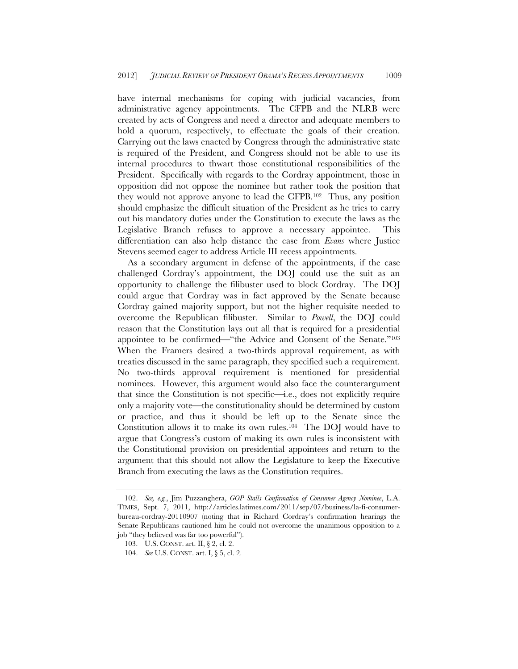have internal mechanisms for coping with judicial vacancies, from administrative agency appointments. The CFPB and the NLRB were created by acts of Congress and need a director and adequate members to hold a quorum, respectively, to effectuate the goals of their creation. Carrying out the laws enacted by Congress through the administrative state is required of the President, and Congress should not be able to use its internal procedures to thwart those constitutional responsibilities of the President. Specifically with regards to the Cordray appointment, those in opposition did not oppose the nominee but rather took the position that they would not approve anyone to lead the CFPB.102 Thus, any position should emphasize the difficult situation of the President as he tries to carry out his mandatory duties under the Constitution to execute the laws as the Legislative Branch refuses to approve a necessary appointee. This differentiation can also help distance the case from *Evans* where Justice Stevens seemed eager to address Article III recess appointments.

As a secondary argument in defense of the appointments, if the case challenged Cordray's appointment, the DOJ could use the suit as an opportunity to challenge the filibuster used to block Cordray. The DOJ could argue that Cordray was in fact approved by the Senate because Cordray gained majority support, but not the higher requisite needed to overcome the Republican filibuster. Similar to *Powell*, the DOJ could reason that the Constitution lays out all that is required for a presidential appointee to be confirmed—"the Advice and Consent of the Senate."<sup>103</sup> When the Framers desired a two-thirds approval requirement, as with treaties discussed in the same paragraph, they specified such a requirement. No two-thirds approval requirement is mentioned for presidential nominees. However, this argument would also face the counterargument that since the Constitution is not specific—i.e., does not explicitly require only a majority vote—the constitutionality should be determined by custom or practice, and thus it should be left up to the Senate since the Constitution allows it to make its own rules.104 The DOJ would have to argue that Congress's custom of making its own rules is inconsistent with the Constitutional provision on presidential appointees and return to the argument that this should not allow the Legislature to keep the Executive Branch from executing the laws as the Constitution requires.

 <sup>102.</sup> *See, e.g.*, Jim Puzzanghera, *GOP Stalls Confirmation of Consumer Agency Nominee*, L.A. TIMES, Sept. 7, 2011, http://articles.latimes.com/2011/sep/07/business/la-fi-consumerbureau-cordray-20110907 (noting that in Richard Cordray's confirmation hearings the Senate Republicans cautioned him he could not overcome the unanimous opposition to a job "they believed was far too powerful").

 <sup>103.</sup> U.S. CONST. art. II, § 2, cl. 2.

 <sup>104.</sup> *See* U.S. CONST. art. I, § 5, cl. 2.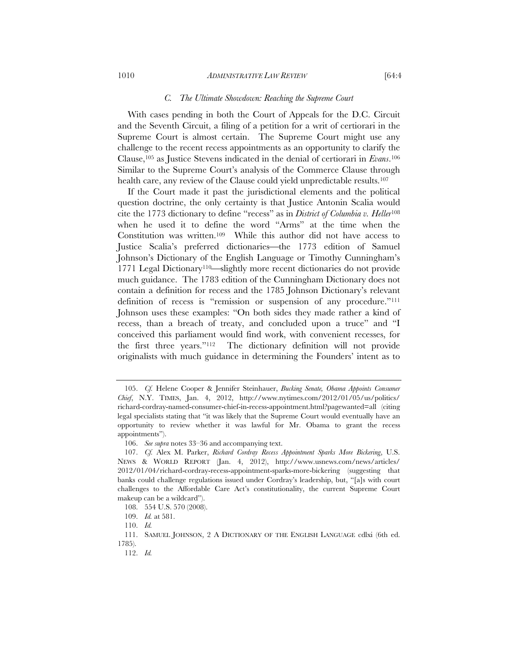#### 1010 *ADMINISTRATIVE LAW REVIEW* [64:4

#### *C. The Ultimate Showdown: Reaching the Supreme Court*

With cases pending in both the Court of Appeals for the D.C. Circuit and the Seventh Circuit, a filing of a petition for a writ of certiorari in the Supreme Court is almost certain. The Supreme Court might use any challenge to the recent recess appointments as an opportunity to clarify the Clause,105 as Justice Stevens indicated in the denial of certiorari in *Evans*.106 Similar to the Supreme Court's analysis of the Commerce Clause through health care, any review of the Clause could yield unpredictable results.<sup>107</sup>

If the Court made it past the jurisdictional elements and the political question doctrine, the only certainty is that Justice Antonin Scalia would cite the 1773 dictionary to define "recess" as in *District of Columbia v. Heller*<sup>108</sup> when he used it to define the word "Arms" at the time when the Constitution was written.109 While this author did not have access to Justice Scalia's preferred dictionaries—the 1773 edition of Samuel Johnson's Dictionary of the English Language or Timothy Cunningham's 1771 Legal Dictionary<sup>110</sup>slightly more recent dictionaries do not provide much guidance. The 1783 edition of the Cunningham Dictionary does not contain a definition for recess and the 1785 Johnson Dictionary's relevant definition of recess is "remission or suspension of any procedure."111 Johnson uses these examples: "On both sides they made rather a kind of recess, than a breach of treaty, and concluded upon a truce" and "I conceived this parliament would find work, with convenient recesses, for the first three years."112 The dictionary definition will not provide originalists with much guidance in determining the Founders' intent as to

 <sup>105.</sup> *Cf.* Helene Cooper & Jennifer Steinhauer, *Bucking Senate, Obama Appoints Consumer Chief*, N.Y. TIMES, Jan. 4, 2012, http://www.nytimes.com/2012/01/05/us/politics/ richard-cordray-named-consumer-chief-in-recess-appointment.html?pagewanted=all (citing legal specialists stating that "it was likely that the Supreme Court would eventually have an opportunity to review whether it was lawful for Mr. Obama to grant the recess appointments").

 <sup>106.</sup> *See supra* notes 33–36 and accompanying text.

 <sup>107.</sup> *Cf.* Alex M. Parker, *Richard Cordray Recess Appointment Sparks More Bickering*, U.S. NEWS & WORLD REPORT (Jan. 4, 2012), http://www.usnews.com/news/articles/ 2012/01/04/richard-cordray-recess-appointment-sparks-more-bickering (suggesting that banks could challenge regulations issued under Cordray's leadership, but, "[a]s with court challenges to the Affordable Care Act's constitutionality, the current Supreme Court makeup can be a wildcard").

 <sup>108. 554</sup> U.S. 570 (2008).

 <sup>109.</sup> *Id.* at 581.

 <sup>110.</sup> *Id.*

 <sup>111.</sup> SAMUEL JOHNSON, 2 A DICTIONARY OF THE ENGLISH LANGUAGE cdlxi (6th ed. 1785).

 <sup>112.</sup> *Id.*